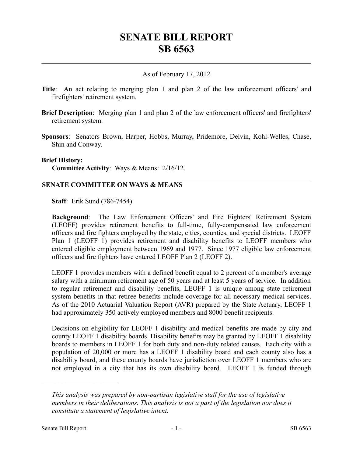# **SENATE BILL REPORT SB 6563**

## As of February 17, 2012

- **Title**: An act relating to merging plan 1 and plan 2 of the law enforcement officers' and firefighters' retirement system.
- **Brief Description**: Merging plan 1 and plan 2 of the law enforcement officers' and firefighters' retirement system.
- **Sponsors**: Senators Brown, Harper, Hobbs, Murray, Pridemore, Delvin, Kohl-Welles, Chase, Shin and Conway.

#### **Brief History:**

**Committee Activity**: Ways & Means: 2/16/12.

### **SENATE COMMITTEE ON WAYS & MEANS**

**Staff**: Erik Sund (786-7454)

**Background**: The Law Enforcement Officers' and Fire Fighters' Retirement System (LEOFF) provides retirement benefits to full-time, fully-compensated law enforcement officers and fire fighters employed by the state, cities, counties, and special districts. LEOFF Plan 1 (LEOFF 1) provides retirement and disability benefits to LEOFF members who entered eligible employment between 1969 and 1977. Since 1977 eligible law enforcement officers and fire fighters have entered LEOFF Plan 2 (LEOFF 2).

LEOFF 1 provides members with a defined benefit equal to 2 percent of a member's average salary with a minimum retirement age of 50 years and at least 5 years of service. In addition to regular retirement and disability benefits, LEOFF 1 is unique among state retirement system benefits in that retiree benefits include coverage for all necessary medical services. As of the 2010 Actuarial Valuation Report (AVR) prepared by the State Actuary, LEOFF 1 had approximately 350 actively employed members and 8000 benefit recipients.

Decisions on eligibility for LEOFF 1 disability and medical benefits are made by city and county LEOFF 1 disability boards. Disability benefits may be granted by LEOFF 1 disability boards to members in LEOFF 1 for both duty and non-duty related causes. Each city with a population of 20,000 or more has a LEOFF 1 disability board and each county also has a disability board, and these county boards have jurisdiction over LEOFF 1 members who are not employed in a city that has its own disability board. LEOFF 1 is funded through

––––––––––––––––––––––

*This analysis was prepared by non-partisan legislative staff for the use of legislative members in their deliberations. This analysis is not a part of the legislation nor does it constitute a statement of legislative intent.*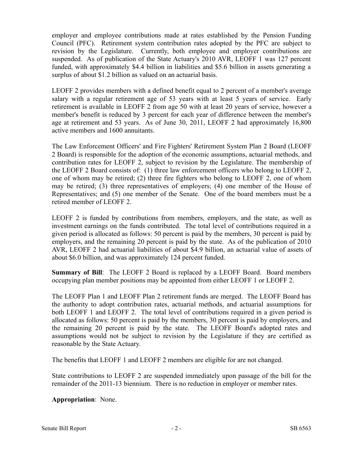employer and employee contributions made at rates established by the Pension Funding Council (PFC). Retirement system contribution rates adopted by the PFC are subject to revision by the Legislature. Currently, both employee and employer contributions are suspended. As of publication of the State Actuary's 2010 AVR, LEOFF 1 was 127 percent funded, with approximately \$4.4 billion in liabilities and \$5.6 billion in assets generating a surplus of about \$1.2 billion as valued on an actuarial basis.

LEOFF 2 provides members with a defined benefit equal to 2 percent of a member's average salary with a regular retirement age of 53 years with at least 5 years of service. Early retirement is available in LEOFF 2 from age 50 with at least 20 years of service, however a member's benefit is reduced by 3 percent for each year of difference between the member's age at retirement and 53 years. As of June 30, 2011, LEOFF 2 had approximately 16,800 active members and 1600 annuitants.

The Law Enforcement Officers' and Fire Fighters' Retirement System Plan 2 Board (LEOFF 2 Board) is responsible for the adoption of the economic assumptions, actuarial methods, and contribution rates for LEOFF 2, subject to revision by the Legislature. The membership of the LEOFF 2 Board consists of: (1) three law enforcement officers who belong to LEOFF 2, one of whom may be retired; (2) three fire fighters who belong to LEOFF 2, one of whom may be retired; (3) three representatives of employers; (4) one member of the House of Representatives; and (5) one member of the Senate. One of the board members must be a retired member of LEOFF 2.

LEOFF 2 is funded by contributions from members, employers, and the state, as well as investment earnings on the funds contributed. The total level of contributions required in a given period is allocated as follows: 50 percent is paid by the members, 30 percent is paid by employers, and the remaining 20 percent is paid by the state. As of the publication of 2010 AVR, LEOFF 2 had actuarial liabilities of about \$4.9 billion, an actuarial value of assets of about \$6.0 billion, and was approximately 124 percent funded.

**Summary of Bill**: The LEOFF 2 Board is replaced by a LEOFF Board. Board members occupying plan member positions may be appointed from either LEOFF 1 or LEOFF 2.

The LEOFF Plan 1 and LEOFF Plan 2 retirement funds are merged. The LEOFF Board has the authority to adopt contribution rates, actuarial methods, and actuarial assumptions for both LEOFF 1 and LEOFF 2. The total level of contributions required in a given period is allocated as follows: 50 percent is paid by the members, 30 percent is paid by employers, and the remaining 20 percent is paid by the state. The LEOFF Board's adopted rates and assumptions would not be subject to revision by the Legislature if they are certified as reasonable by the State Actuary.

The benefits that LEOFF 1 and LEOFF 2 members are eligible for are not changed.

State contributions to LEOFF 2 are suspended immediately upon passage of the bill for the remainder of the 2011-13 biennium. There is no reduction in employer or member rates.

**Appropriation**: None.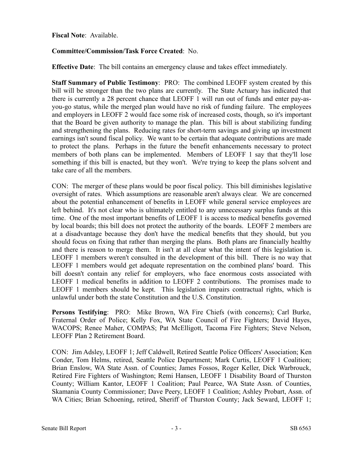**Fiscal Note**: Available.

## **Committee/Commission/Task Force Created**: No.

**Effective Date**: The bill contains an emergency clause and takes effect immediately.

**Staff Summary of Public Testimony**: PRO: The combined LEOFF system created by this bill will be stronger than the two plans are currently. The State Actuary has indicated that there is currently a 28 percent chance that LEOFF 1 will run out of funds and enter pay-asyou-go status, while the merged plan would have no risk of funding failure. The employees and employers in LEOFF 2 would face some risk of increased costs, though, so it's important that the Board be given authority to manage the plan. This bill is about stabilizing funding and strengthening the plans. Reducing rates for short-term savings and giving up investment earnings isn't sound fiscal policy. We want to be certain that adequate contributions are made to protect the plans. Perhaps in the future the benefit enhancements necessary to protect members of both plans can be implemented. Members of LEOFF 1 say that they'll lose something if this bill is enacted, but they won't. We're trying to keep the plans solvent and take care of all the members.

CON: The merger of these plans would be poor fiscal policy. This bill diminishes legislative oversight of rates. Which assumptions are reasonable aren't always clear. We are concerned about the potential enhancement of benefits in LEOFF while general service employees are left behind. It's not clear who is ultimately entitled to any unnecessary surplus funds at this time. One of the most important benefits of LEOFF 1 is access to medical benefits governed by local boards; this bill does not protect the authority of the boards. LEOFF 2 members are at a disadvantage because they don't have the medical benefits that they should, but you should focus on fixing that rather than merging the plans. Both plans are financially healthy and there is reason to merge them. It isn't at all clear what the intent of this legislation is. LEOFF 1 members weren't consulted in the development of this bill. There is no way that LEOFF 1 members would get adequate representation on the combined plans' board. This bill doesn't contain any relief for employers, who face enormous costs associated with LEOFF 1 medical benefits in addition to LEOFF 2 contributions. The promises made to LEOFF 1 members should be kept. This legislation impairs contractual rights, which is unlawful under both the state Constitution and the U.S. Constitution.

**Persons Testifying**: PRO: Mike Brown, WA Fire Chiefs (with concerns); Carl Burke, Fraternal Order of Police; Kelly Fox, WA State Council of Fire Fighters; David Hayes, WACOPS; Renee Maher, COMPAS; Pat McElligott, Tacoma Fire Fighters; Steve Nelson, LEOFF Plan 2 Retirement Board.

CON: Jim Adsley, LEOFF 1; Jeff Caldwell, Retired Seattle Police Officers' Association; Ken Conder, Tom Helms, retired, Seattle Police Department; Mark Curtis, LEOFF 1 Coalition; Brian Enslow, WA State Assn. of Counties; James Fossos, Roger Keller, Dick Warbrouck, Retired Fire Fighters of Washington; Remi Hansen, LEOFF 1 Disability Board of Thurston County; William Kantor, LEOFF 1 Coalition; Paul Pearce, WA State Assn. of Counties, Skamania County Commissioner; Dave Peery, LEOFF 1 Coalition; Ashley Probart, Assn. of WA Cities; Brian Schoening, retired, Sheriff of Thurston County; Jack Seward, LEOFF 1;